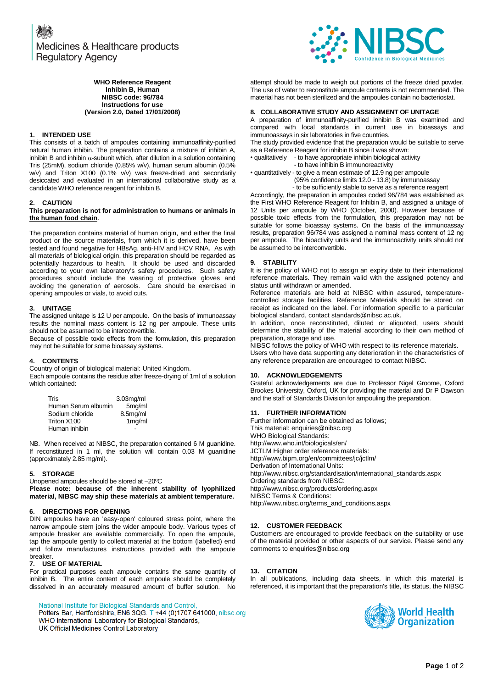

#### **WHO Reference Reagent Inhibin B, Human NIBSC code: 96/784 Instructions for use (Version 2.0, Dated 17/01/2008)**

## **1. INTENDED USE**

This consists of a batch of ampoules containing immunoaffinity-purified natural human inhibin. The preparation contains a mixture of inhibin A, inhibin B and inhibin  $\alpha$ -subunit which, after dilution in a solution containing Tris (25mM), sodium chloride (0.85% w/v), human serum albumin (0.5% w/v) and Triton X100 (0.1% v/v) was freeze-dried and secondarily desiccated and evaluated in an international collaborative study as a candidate WHO reference reagent for inhibin B.

## **2. CAUTION**

## **This preparation is not for administration to humans or animals in the human food chain**.

The preparation contains material of human origin, and either the final product or the source materials, from which it is derived, have been tested and found negative for HBsAg, anti-HIV and HCV RNA. As with all materials of biological origin, this preparation should be regarded as potentially hazardous to health. It should be used and discarded according to your own laboratory's safety procedures. Such safety procedures should include the wearing of protective gloves and avoiding the generation of aerosols. Care should be exercised in opening ampoules or vials, to avoid cuts.

# **3. UNITAGE**

The assigned unitage is 12 U per ampoule. On the basis of immunoassay results the nominal mass content is 12 ng per ampoule. These units should not be assumed to be interconvertible.

Because of possible toxic effects from the formulation, this preparation may not be suitable for some bioassay systems.

# **4. CONTENTS**

Country of origin of biological material: United Kingdom.

Each ampoule contains the residue after freeze-drying of 1ml of a solution which contained:

| Tris                | $3.03mq$ /ml |
|---------------------|--------------|
| Human Serum albumin | 5mg/ml       |
| Sodium chloride     | 8.5mg/ml     |
| Triton X100         | 1mg/ml       |
| Human inhibin       |              |

NB. When received at NIBSC, the preparation contained 6 M guanidine. If reconstituted in 1 ml, the solution will contain 0.03 M guanidine (approximately 2.85 mg/ml).

## **5. STORAGE**

Unopened ampoules should be stored at –20ºC **Please note: because of the inherent stability of lyophilized material, NIBSC may ship these materials at ambient temperature.**

## **6. DIRECTIONS FOR OPENING**

DIN ampoules have an 'easy-open' coloured stress point, where the narrow ampoule stem joins the wider ampoule body. Various types of ampoule breaker are available commercially. To open the ampoule, tap the ampoule gently to collect material at the bottom (labelled) end and follow manufactures instructions provided with the ampoule breaker.

## **7. USE OF MATERIAL**

For practical purposes each ampoule contains the same quantity of inhibin B. The entire content of each ampoule should be completely dissolved in an accurately measured amount of buffer solution. No

National Institute for Biological Standards and Control,

Potters Bar, Hertfordshire, EN6 3QG. T +44 (0)1707 641000, nibsc.org WHO International Laboratory for Biological Standards, UK Official Medicines Control Laboratory

attempt should be made to weigh out portions of the freeze dried powder. The use of water to reconstitute ampoule contents is not recommended. The material has not been sterilized and the ampoules contain no bacteriostat.

## **8. COLLABORATIVE STUDY AND ASSIGNMENT OF UNITAGE**

A preparation of immunoaffinity-purified inhibin B was examined and compared with local standards in current use in bioassays and immunoassays in six laboratories in five countries.

The study provided evidence that the preparation would be suitable to serve as a Reference Reagent for inhibin B since it was shown:

• qualitatively - to have appropriate inhibin biological activity

- to have inhibin B immunoreactivity

• quantitatively - to give a mean estimate of 12.9 ng per ampoule

(95% confidence limits 12.0 - 13.8) by immunoassay

- to be sufficiently stable to serve as a reference reagent

Accordingly, the preparation in ampoules coded 96/784 was established as the First WHO Reference Reagent for Inhibin B, and assigned a unitage of 12 Units per ampoule by WHO (October, 2000). However because of possible toxic effects from the formulation, this preparation may not be suitable for some bioassay systems. On the basis of the immunoassay results, preparation 96/784 was assigned a nominal mass content of 12 ng per ampoule. The bioactivity units and the immunoactivity units should not be assumed to be interconvertible.

## **9. STABILITY**

It is the policy of WHO not to assign an expiry date to their international reference materials. They remain valid with the assigned potency and status until withdrawn or amended.

Reference materials are held at NIBSC within assured, temperaturecontrolled storage facilities. Reference Materials should be stored on receipt as indicated on the label. For information specific to a particular biological standard, contact standards@nibsc.ac.uk.

In addition, once reconstituted, diluted or aliquoted, users should determine the stability of the material according to their own method of preparation, storage and use.

NIBSC follows the policy of WHO with respect to its reference materials. Users who have data supporting any deterioration in the characteristics of any reference preparation are encouraged to contact NIBSC.

## **10. ACKNOWLEDGEMENTS**

Grateful acknowledgements are due to Professor Nigel Groome, Oxford Brookes University, Oxford, UK for providing the material and Dr P Dawson and the staff of Standards Division for ampouling the preparation.

## **11. FURTHER INFORMATION**

Further information can be obtained as follows; This material[: enquiries@nibsc.org](mailto:enquiries@nibsc.org) WHO Biological Standards: <http://www.who.int/biologicals/en/> JCTLM Higher order reference materials: <http://www.bipm.org/en/committees/jc/jctlm/> Derivation of International Units: [http://www.nibsc.org/standardisation/international\\_standards.aspx](http://www.nibsc.org/standardisation/international_standards.aspx) Ordering standards from NIBSC: <http://www.nibsc.org/products/ordering.aspx> NIBSC Terms & Conditions: [http://www.nibsc.org/terms\\_and\\_conditions.aspx](http://www.nibsc.ac.uk/terms_and_conditions.aspx)

## **12. CUSTOMER FEEDBACK**

Customers are encouraged to provide feedback on the suitability or use of the material provided or other aspects of our service. Please send any comments t[o enquiries@nibsc.org](mailto:enquiries@nibsc.org)

## **13. CITATION**

In all publications, including data sheets, in which this material is referenced, it is important that the preparation's title, its status, the NIBSC